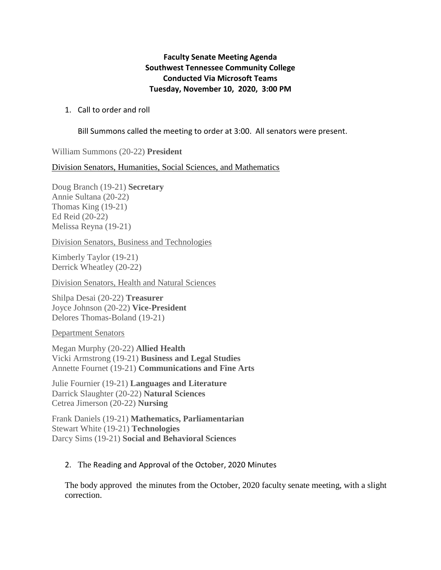## **Faculty Senate Meeting Agenda Southwest Tennessee Community College Conducted Via Microsoft Teams Tuesday, November 10, 2020, 3:00 PM**

## 1. Call to order and roll

Bill Summons called the meeting to order at 3:00. All senators were present.

William Summons (20-22) **President** 

Division Senators, Humanities, Social Sciences, and Mathematics

Doug Branch (19-21) **Secretary** Annie Sultana (20-22) Thomas King (19-21) Ed Reid (20-22) Melissa Reyna (19-21)

Division Senators, Business and Technologies

Kimberly Taylor (19-21) Derrick Wheatley (20-22)

Division Senators, Health and Natural Sciences

Shilpa Desai (20-22) **Treasurer** Joyce Johnson (20-22) **Vice-President** Delores Thomas-Boland (19-21)

Department Senators

Megan Murphy (20-22) **Allied Health**  Vicki Armstrong (19-21) **Business and Legal Studies** Annette Fournet (19-21) **Communications and Fine Arts**

Julie Fournier (19-21) **Languages and Literature** Darrick Slaughter (20-22) **Natural Sciences**  Cetrea Jimerson (20-22) **Nursing** 

Frank Daniels (19-21) **Mathematics, Parliamentarian**  Stewart White (19-21) **Technologies** Darcy Sims (19-21) **Social and Behavioral Sciences**

## 2. The Reading and Approval of the October, 2020 Minutes

The body approved the minutes from the October, 2020 faculty senate meeting, with a slight correction.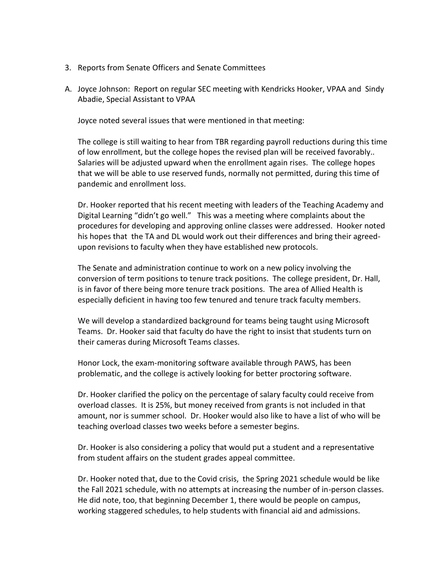- 3. Reports from Senate Officers and Senate Committees
- A. Joyce Johnson: Report on regular SEC meeting with Kendricks Hooker, VPAA and Sindy Abadie, Special Assistant to VPAA

Joyce noted several issues that were mentioned in that meeting:

The college is still waiting to hear from TBR regarding payroll reductions during this time of low enrollment, but the college hopes the revised plan will be received favorably.. Salaries will be adjusted upward when the enrollment again rises. The college hopes that we will be able to use reserved funds, normally not permitted, during this time of pandemic and enrollment loss.

Dr. Hooker reported that his recent meeting with leaders of the Teaching Academy and Digital Learning "didn't go well." This was a meeting where complaints about the procedures for developing and approving online classes were addressed. Hooker noted his hopes that the TA and DL would work out their differences and bring their agreedupon revisions to faculty when they have established new protocols.

The Senate and administration continue to work on a new policy involving the conversion of term positions to tenure track positions. The college president, Dr. Hall, is in favor of there being more tenure track positions. The area of Allied Health is especially deficient in having too few tenured and tenure track faculty members.

We will develop a standardized background for teams being taught using Microsoft Teams. Dr. Hooker said that faculty do have the right to insist that students turn on their cameras during Microsoft Teams classes.

Honor Lock, the exam-monitoring software available through PAWS, has been problematic, and the college is actively looking for better proctoring software.

Dr. Hooker clarified the policy on the percentage of salary faculty could receive from overload classes. It is 25%, but money received from grants is not included in that amount, nor is summer school. Dr. Hooker would also like to have a list of who will be teaching overload classes two weeks before a semester begins.

Dr. Hooker is also considering a policy that would put a student and a representative from student affairs on the student grades appeal committee.

Dr. Hooker noted that, due to the Covid crisis, the Spring 2021 schedule would be like the Fall 2021 schedule, with no attempts at increasing the number of in-person classes. He did note, too, that beginning December 1, there would be people on campus, working staggered schedules, to help students with financial aid and admissions.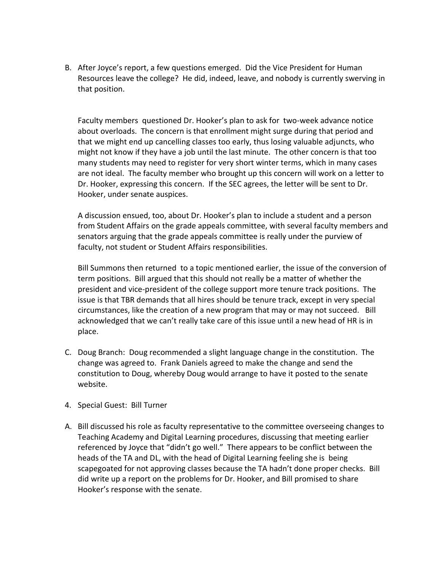B. After Joyce's report, a few questions emerged. Did the Vice President for Human Resources leave the college? He did, indeed, leave, and nobody is currently swerving in that position.

Faculty members questioned Dr. Hooker's plan to ask for two-week advance notice about overloads. The concern is that enrollment might surge during that period and that we might end up cancelling classes too early, thus losing valuable adjuncts, who might not know if they have a job until the last minute. The other concern is that too many students may need to register for very short winter terms, which in many cases are not ideal. The faculty member who brought up this concern will work on a letter to Dr. Hooker, expressing this concern. If the SEC agrees, the letter will be sent to Dr. Hooker, under senate auspices.

A discussion ensued, too, about Dr. Hooker's plan to include a student and a person from Student Affairs on the grade appeals committee, with several faculty members and senators arguing that the grade appeals committee is really under the purview of faculty, not student or Student Affairs responsibilities.

Bill Summons then returned to a topic mentioned earlier, the issue of the conversion of term positions. Bill argued that this should not really be a matter of whether the president and vice-president of the college support more tenure track positions. The issue is that TBR demands that all hires should be tenure track, except in very special circumstances, like the creation of a new program that may or may not succeed. Bill acknowledged that we can't really take care of this issue until a new head of HR is in place.

- C. Doug Branch: Doug recommended a slight language change in the constitution. The change was agreed to. Frank Daniels agreed to make the change and send the constitution to Doug, whereby Doug would arrange to have it posted to the senate website.
- 4. Special Guest: Bill Turner
- A. Bill discussed his role as faculty representative to the committee overseeing changes to Teaching Academy and Digital Learning procedures, discussing that meeting earlier referenced by Joyce that "didn't go well." There appears to be conflict between the heads of the TA and DL, with the head of Digital Learning feeling she is being scapegoated for not approving classes because the TA hadn't done proper checks. Bill did write up a report on the problems for Dr. Hooker, and Bill promised to share Hooker's response with the senate.